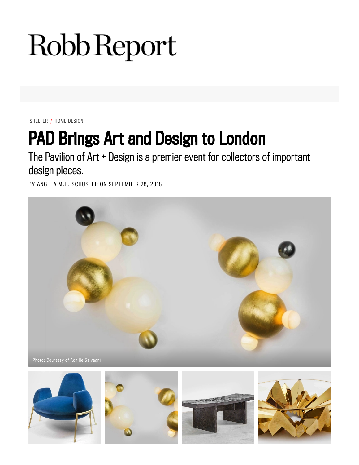## Robb Report

SHELTER / HOME DESIGN

## **PAD Brings Art and Design to London**

The Pavilion of Art + Design is a premier event for collectors of important design pieces.

BY ANGELA M.H. SCHUSTER ON SEPTEMBER 28, 2018